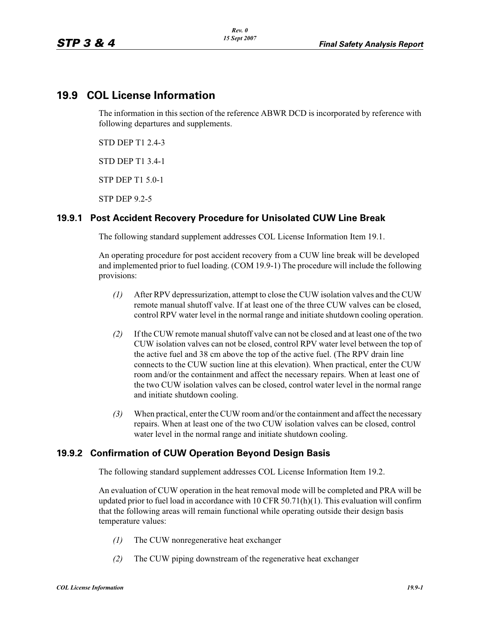# **19.9 COL License Information**

The information in this section of the reference ABWR DCD is incorporated by reference with following departures and supplements.

STD DEP T1 2.4-3

STD DEP T1 3.4-1

STP DEP T1 5.0-1

STP DEP 9.2-5

## **19.9.1 Post Accident Recovery Procedure for Unisolated CUW Line Break**

The following standard supplement addresses COL License Information Item 19.1.

An operating procedure for post accident recovery from a CUW line break will be developed and implemented prior to fuel loading. (COM 19.9-1) The procedure will include the following provisions:

- *(1)* After RPV depressurization, attempt to close the CUW isolation valves and the CUW remote manual shutoff valve. If at least one of the three CUW valves can be closed, control RPV water level in the normal range and initiate shutdown cooling operation.
- *(2)* If the CUW remote manual shutoff valve can not be closed and at least one of the two CUW isolation valves can not be closed, control RPV water level between the top of the active fuel and 38 cm above the top of the active fuel. (The RPV drain line connects to the CUW suction line at this elevation). When practical, enter the CUW room and/or the containment and affect the necessary repairs. When at least one of the two CUW isolation valves can be closed, control water level in the normal range and initiate shutdown cooling.
- *(3)* When practical, enter the CUW room and/or the containment and affect the necessary repairs. When at least one of the two CUW isolation valves can be closed, control water level in the normal range and initiate shutdown cooling.

## **19.9.2 Confirmation of CUW Operation Beyond Design Basis**

The following standard supplement addresses COL License Information Item 19.2.

An evaluation of CUW operation in the heat removal mode will be completed and PRA will be updated prior to fuel load in accordance with  $10$  CFR  $50.71(h)(1)$ . This evaluation will confirm that the following areas will remain functional while operating outside their design basis temperature values:

- *(1)* The CUW nonregenerative heat exchanger
- *(2)* The CUW piping downstream of the regenerative heat exchanger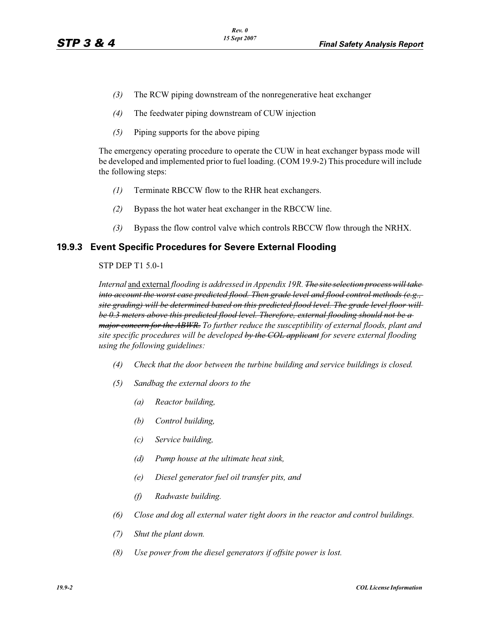- *(3)* The RCW piping downstream of the nonregenerative heat exchanger
- *(4)* The feedwater piping downstream of CUW injection
- *(5)* Piping supports for the above piping

The emergency operating procedure to operate the CUW in heat exchanger bypass mode will be developed and implemented prior to fuel loading. (COM 19.9-2) This procedure will include the following steps:

- *(1)* Terminate RBCCW flow to the RHR heat exchangers.
- *(2)* Bypass the hot water heat exchanger in the RBCCW line.
- *(3)* Bypass the flow control valve which controls RBCCW flow through the NRHX.

### **19.9.3 Event Specific Procedures for Severe External Flooding**

#### STP DEP T1 5.0-1

*Internal* and external *flooding is addressed in Appendix 19R. The site selection process will take into account the worst case predicted flood. Then grade level and flood control methods (e.g., site grading) will be determined based on this predicted flood level. The grade level floor will be 0.3 meters above this predicted flood level. Therefore, external flooding should not be a major concern for the ABWR. To further reduce the susceptibility of external floods, plant and site specific procedures will be developed by the COL applicant for severe external flooding using the following guidelines:* 

- *(4) Check that the door between the turbine building and service buildings is closed.*
- *(5) Sandbag the external doors to the*
	- *(a) Reactor building,*
	- *(b) Control building,*
	- *(c) Service building,*
	- *(d) Pump house at the ultimate heat sink,*
	- *(e) Diesel generator fuel oil transfer pits, and*
	- *(f) Radwaste building.*
- *(6) Close and dog all external water tight doors in the reactor and control buildings.*
- *(7) Shut the plant down.*
- *(8) Use power from the diesel generators if offsite power is lost.*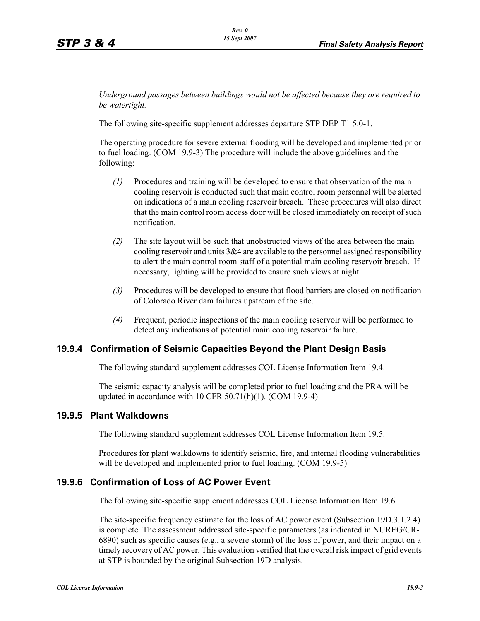*Underground passages between buildings would not be affected because they are required to be watertight.*

The following site-specific supplement addresses departure STP DEP T1 5.0-1.

The operating procedure for severe external flooding will be developed and implemented prior to fuel loading. (COM 19.9-3) The procedure will include the above guidelines and the following:

- *(1)* Procedures and training will be developed to ensure that observation of the main cooling reservoir is conducted such that main control room personnel will be alerted on indications of a main cooling reservoir breach. These procedures will also direct that the main control room access door will be closed immediately on receipt of such notification.
- *(2)* The site layout will be such that unobstructed views of the area between the main cooling reservoir and units 3&4 are available to the personnel assigned responsibility to alert the main control room staff of a potential main cooling reservoir breach. If necessary, lighting will be provided to ensure such views at night.
- *(3)* Procedures will be developed to ensure that flood barriers are closed on notification of Colorado River dam failures upstream of the site.
- *(4)* Frequent, periodic inspections of the main cooling reservoir will be performed to detect any indications of potential main cooling reservoir failure.

### **19.9.4 Confirmation of Seismic Capacities Beyond the Plant Design Basis**

The following standard supplement addresses COL License Information Item 19.4.

The seismic capacity analysis will be completed prior to fuel loading and the PRA will be updated in accordance with 10 CFR 50.71(h)(1). (COM 19.9-4)

### **19.9.5 Plant Walkdowns**

The following standard supplement addresses COL License Information Item 19.5.

Procedures for plant walkdowns to identify seismic, fire, and internal flooding vulnerabilities will be developed and implemented prior to fuel loading. (COM 19.9-5)

### **19.9.6 Confirmation of Loss of AC Power Event**

The following site-specific supplement addresses COL License Information Item 19.6.

The site-specific frequency estimate for the loss of AC power event (Subsection 19D.3.1.2.4) is complete. The assessment addressed site-specific parameters (as indicated in NUREG/CR-6890) such as specific causes (e.g., a severe storm) of the loss of power, and their impact on a timely recovery of AC power. This evaluation verified that the overall risk impact of grid events at STP is bounded by the original Subsection 19D analysis.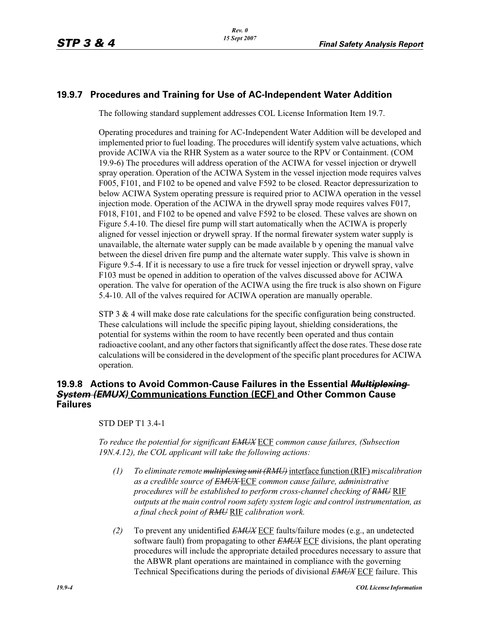# **19.9.7 Procedures and Training for Use of AC-Independent Water Addition**

The following standard supplement addresses COL License Information Item 19.7.

Operating procedures and training for AC-Independent Water Addition will be developed and implemented prior to fuel loading. The procedures will identify system valve actuations, which provide ACIWA via the RHR System as a water source to the RPV or Containment. (COM 19.9-6) The procedures will address operation of the ACIWA for vessel injection or drywell spray operation. Operation of the ACIWA System in the vessel injection mode requires valves F005, F101, and F102 to be opened and valve F592 to be closed. Reactor depressurization to below ACIWA System operating pressure is required prior to ACIWA operation in the vessel injection mode. Operation of the ACIWA in the drywell spray mode requires valves F017, F018, F101, and F102 to be opened and valve F592 to be closed. These valves are shown on Figure 5.4-10. The diesel fire pump will start automatically when the ACIWA is properly aligned for vessel injection or drywell spray. If the normal firewater system water supply is unavailable, the alternate water supply can be made available b y opening the manual valve between the diesel driven fire pump and the alternate water supply. This valve is shown in Figure 9.5-4. If it is necessary to use a fire truck for vessel injection or drywell spray, valve F103 must be opened in addition to operation of the valves discussed above for ACIWA operation. The valve for operation of the ACIWA using the fire truck is also shown on Figure 5.4-10. All of the valves required for ACIWA operation are manually operable.

STP 3 & 4 will make dose rate calculations for the specific configuration being constructed. These calculations will include the specific piping layout, shielding considerations, the potential for systems within the room to have recently been operated and thus contain radioactive coolant, and any other factors that significantly affect the dose rates. These dose rate calculations will be considered in the development of the specific plant procedures for ACIWA operation.

## **19.9.8 Actions to Avoid Common-Cause Failures in the Essential** *Multiplexing System (EMUX)* **Communications Function (ECF) and Other Common Cause Failures**

STD DEP T1 3.4-1

*To reduce the potential for significant EMUX* ECF *common cause failures, (Subsection 19N.4.12), the COL applicant will take the following actions:*

- *(1) To eliminate remote multiplexing unit (RMU)* interface function (RIF) *miscalibration as a credible source of EMUX* ECF *common cause failure, administrative procedures will be established to perform cross-channel checking of RMU* RIF *outputs at the main control room safety system logic and control instrumentation, as a final check point of RMU* RIF *calibration work.*
- *(2)* To prevent any unidentified *EMUX* ECF faults/failure modes (e.g., an undetected software fault) from propagating to other *EMUX* ECF divisions, the plant operating procedures will include the appropriate detailed procedures necessary to assure that the ABWR plant operations are maintained in compliance with the governing Technical Specifications during the periods of divisional *EMUX* ECF failure. This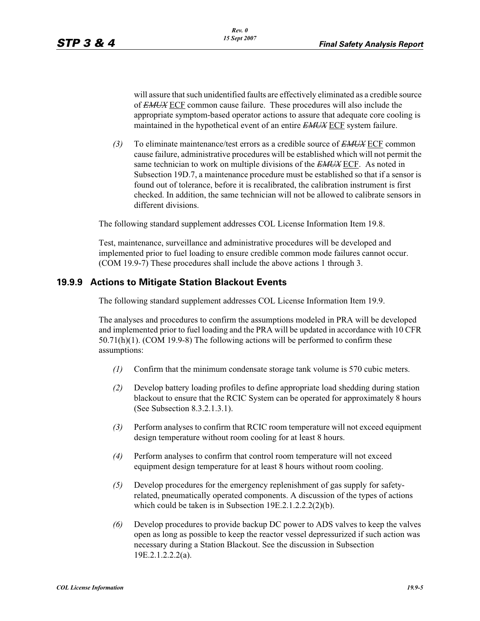will assure that such unidentified faults are effectively eliminated as a credible source of *EMUX* ECF common cause failure. These procedures will also include the appropriate symptom-based operator actions to assure that adequate core cooling is maintained in the hypothetical event of an entire *EMUX* ECF system failure.

*(3)* To eliminate maintenance/test errors as a credible source of *EMUX* ECF common cause failure, administrative procedures will be established which will not permit the same technician to work on multiple divisions of the *EMUX* ECF. As noted in Subsection 19D.7, a maintenance procedure must be established so that if a sensor is found out of tolerance, before it is recalibrated, the calibration instrument is first checked. In addition, the same technician will not be allowed to calibrate sensors in different divisions.

The following standard supplement addresses COL License Information Item 19.8.

Test, maintenance, surveillance and administrative procedures will be developed and implemented prior to fuel loading to ensure credible common mode failures cannot occur. (COM 19.9-7) These procedures shall include the above actions 1 through 3.

### **19.9.9 Actions to Mitigate Station Blackout Events**

The following standard supplement addresses COL License Information Item 19.9.

The analyses and procedures to confirm the assumptions modeled in PRA will be developed and implemented prior to fuel loading and the PRA will be updated in accordance with 10 CFR 50.71(h)(1). (COM 19.9-8) The following actions will be performed to confirm these assumptions:

- *(1)* Confirm that the minimum condensate storage tank volume is 570 cubic meters.
- *(2)* Develop battery loading profiles to define appropriate load shedding during station blackout to ensure that the RCIC System can be operated for approximately 8 hours (See Subsection 8.3.2.1.3.1).
- *(3)* Perform analyses to confirm that RCIC room temperature will not exceed equipment design temperature without room cooling for at least 8 hours.
- *(4)* Perform analyses to confirm that control room temperature will not exceed equipment design temperature for at least 8 hours without room cooling.
- *(5)* Develop procedures for the emergency replenishment of gas supply for safetyrelated, pneumatically operated components. A discussion of the types of actions which could be taken is in Subsection 19E.2.1.2.2.2(2)(b).
- *(6)* Develop procedures to provide backup DC power to ADS valves to keep the valves open as long as possible to keep the reactor vessel depressurized if such action was necessary during a Station Blackout. See the discussion in Subsection 19E.2.1.2.2.2(a).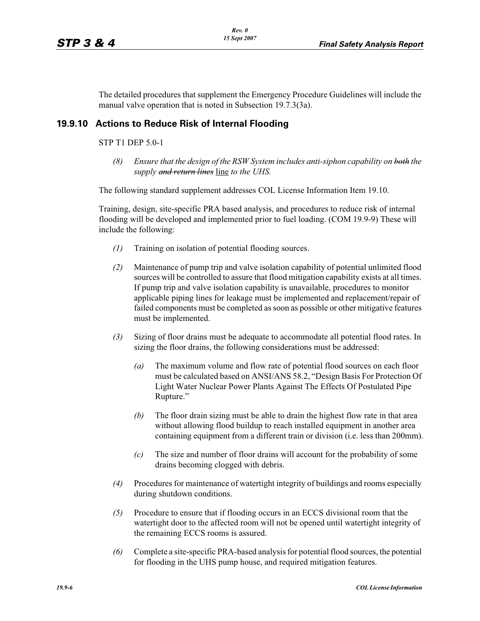The detailed procedures that supplement the Emergency Procedure Guidelines will include the manual valve operation that is noted in Subsection 19.7.3(3a).

### **19.9.10 Actions to Reduce Risk of Internal Flooding**

#### STP T1 DEP 5.0-1

*(8) Ensure that the design of the RSW System includes anti-siphon capability on both the supply and return lines* line *to the UHS.*

The following standard supplement addresses COL License Information Item 19.10.

Training, design, site-specific PRA based analysis, and procedures to reduce risk of internal flooding will be developed and implemented prior to fuel loading. (COM 19.9-9) These will include the following:

- *(1)* Training on isolation of potential flooding sources.
- *(2)* Maintenance of pump trip and valve isolation capability of potential unlimited flood sources will be controlled to assure that flood mitigation capability exists at all times. If pump trip and valve isolation capability is unavailable, procedures to monitor applicable piping lines for leakage must be implemented and replacement/repair of failed components must be completed as soon as possible or other mitigative features must be implemented.
- *(3)* Sizing of floor drains must be adequate to accommodate all potential flood rates. In sizing the floor drains, the following considerations must be addressed:
	- *(a)* The maximum volume and flow rate of potential flood sources on each floor must be calculated based on ANSI/ANS 58.2, "Design Basis For Protection Of Light Water Nuclear Power Plants Against The Effects Of Postulated Pipe Rupture."
	- *(b)* The floor drain sizing must be able to drain the highest flow rate in that area without allowing flood buildup to reach installed equipment in another area containing equipment from a different train or division (i.e. less than 200mm).
	- *(c)* The size and number of floor drains will account for the probability of some drains becoming clogged with debris.
- *(4)* Procedures for maintenance of watertight integrity of buildings and rooms especially during shutdown conditions.
- *(5)* Procedure to ensure that if flooding occurs in an ECCS divisional room that the watertight door to the affected room will not be opened until watertight integrity of the remaining ECCS rooms is assured.
- *(6)* Complete a site-specific PRA-based analysis for potential flood sources, the potential for flooding in the UHS pump house, and required mitigation features.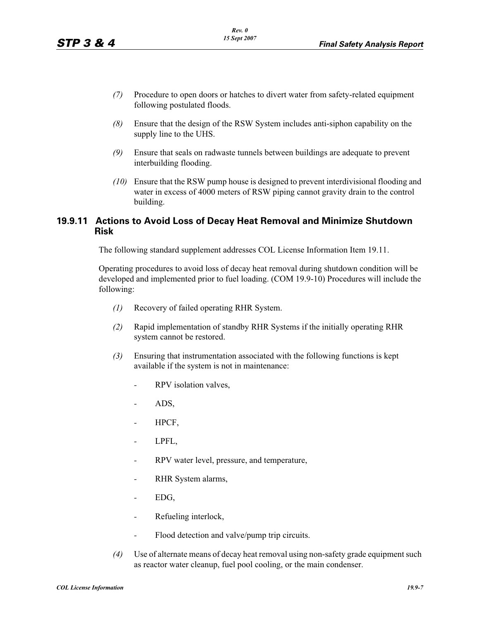- *(7)* Procedure to open doors or hatches to divert water from safety-related equipment following postulated floods.
- *(8)* Ensure that the design of the RSW System includes anti-siphon capability on the supply line to the UHS.
- *(9)* Ensure that seals on radwaste tunnels between buildings are adequate to prevent interbuilding flooding.
- *(10)* Ensure that the RSW pump house is designed to prevent interdivisional flooding and water in excess of 4000 meters of RSW piping cannot gravity drain to the control building.

### **19.9.11 Actions to Avoid Loss of Decay Heat Removal and Minimize Shutdown Risk**

The following standard supplement addresses COL License Information Item 19.11.

Operating procedures to avoid loss of decay heat removal during shutdown condition will be developed and implemented prior to fuel loading. (COM 19.9-10) Procedures will include the following:

- *(1)* Recovery of failed operating RHR System.
- *(2)* Rapid implementation of standby RHR Systems if the initially operating RHR system cannot be restored.
- *(3)* Ensuring that instrumentation associated with the following functions is kept available if the system is not in maintenance:
	- *-* RPV isolation valves,
	- *-* ADS,
	- *-* HPCF,
	- *-* LPFL,
	- *-* RPV water level, pressure, and temperature,
	- *-* RHR System alarms,
	- *-* EDG,
	- *-* Refueling interlock,
	- *-* Flood detection and valve/pump trip circuits.
- *(4)* Use of alternate means of decay heat removal using non-safety grade equipment such as reactor water cleanup, fuel pool cooling, or the main condenser.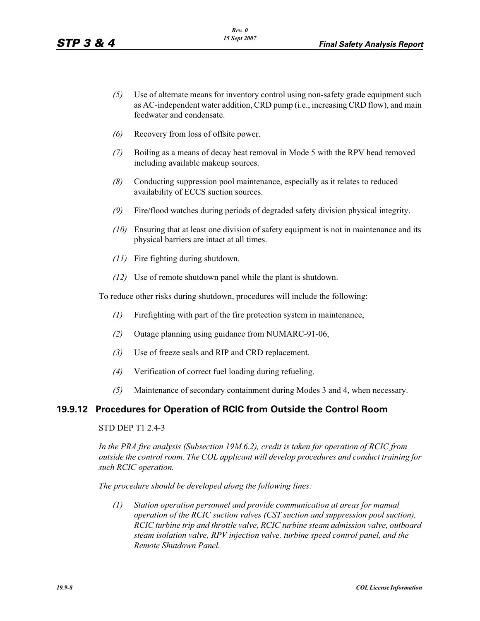- *(5)* Use of alternate means for inventory control using non-safety grade equipment such as AC-independent water addition, CRD pump (i.e., increasing CRD flow), and main feedwater and condensate.
- *(6)* Recovery from loss of offsite power.
- *(7)* Boiling as a means of decay heat removal in Mode 5 with the RPV head removed including available makeup sources.
- *(8)* Conducting suppression pool maintenance, especially as it relates to reduced availability of ECCS suction sources.
- *(9)* Fire/flood watches during periods of degraded safety division physical integrity.
- *(10)* Ensuring that at least one division of safety equipment is not in maintenance and its physical barriers are intact at all times.
- *(11)* Fire fighting during shutdown.
- *(12)* Use of remote shutdown panel while the plant is shutdown.

To reduce other risks during shutdown, procedures will include the following:

- *(1)* Firefighting with part of the fire protection system in maintenance,
- *(2)* Outage planning using guidance from NUMARC-91-06,
- *(3)* Use of freeze seals and RIP and CRD replacement.
- *(4)* Verification of correct fuel loading during refueling.
- *(5)* Maintenance of secondary containment during Modes 3 and 4, when necessary.

### **19.9.12 Procedures for Operation of RCIC from Outside the Control Room**

#### STD DEP T1 2.4-3

*In the PRA fire analysis (Subsection 19M.6.2), credit is taken for operation of RCIC from outside the control room. The COL applicant will develop procedures and conduct training for such RCIC operation.*

*The procedure should be developed along the following lines:*

*(1) Station operation personnel and provide communication at areas for manual operation of the RCIC suction valves (CST suction and suppression pool suction), RCIC turbine trip and throttle valve, RCIC turbine steam admission valve, outboard steam isolation valve, RPV injection valve, turbine speed control panel, and the Remote Shutdown Panel.*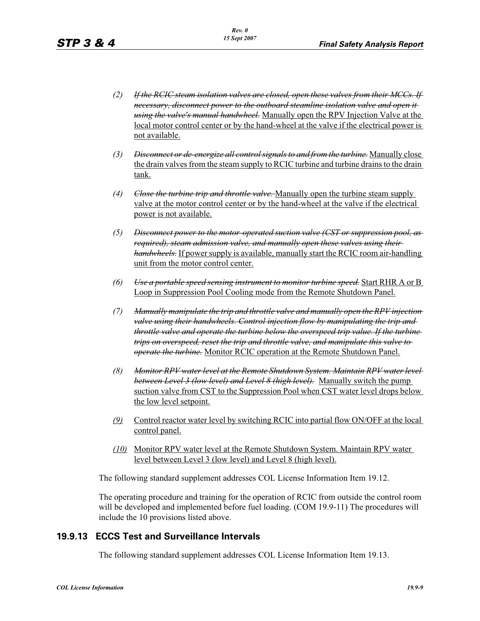- *(2) If the RCIC steam isolation valves are closed, open these valves from their MCCs. If necessary, disconnect power to the outboard steamline isolation valve and open it using the valve's manual handwheel.* Manually open the RPV Injection Valve at the local motor control center or by the hand-wheel at the valve if the electrical power is not available.
- *(3) Disconnect or de-energize all control signals to and from the turbine.* Manually close the drain valves from the steam supply to RCIC turbine and turbine drains to the drain tank.
- *(4) Close the turbine trip and throttle valve.* Manually open the turbine steam supply valve at the motor control center or by the hand-wheel at the valve if the electrical power is not available.
- *(5) Disconnect power to the motor-operated suction valve (CST or suppression pool, as required), steam admission valve, and manually open these valves using their handwheels.* If power supply is available, manually start the RCIC room air-handling unit from the motor control center.
- *(6) Use a portable speed sensing instrument to monitor turbine speed.* Start RHR A or B Loop in Suppression Pool Cooling mode from the Remote Shutdown Panel.
- *(7) Manually manipulate the trip and throttle valve and manually open the RPV injection valve using their handwheels. Control injection flow by manipulating the trip and throttle valve and operate the turbine below the overspeed trip value. If the turbine trips on overspeed, reset the trip and throttle valve, and manipulate this valve to operate the turbine.* Monitor RCIC operation at the Remote Shutdown Panel.
- *(8) Monitor RPV water level at the Remote Shutdown System. Maintain RPV water level between Level 3 (low level) and Level 8 (high level).* Manually switch the pump suction valve from CST to the Suppression Pool when CST water level drops below the low level setpoint.
- *(9)* Control reactor water level by switching RCIC into partial flow ON/OFF at the local control panel.
- *(10)* Monitor RPV water level at the Remote Shutdown System. Maintain RPV water level between Level 3 (low level) and Level 8 (high level).

The following standard supplement addresses COL License Information Item 19.12.

The operating procedure and training for the operation of RCIC from outside the control room will be developed and implemented before fuel loading. (COM 19.9-11) The procedures will include the 10 provisions listed above.

## **19.9.13 ECCS Test and Surveillance Intervals**

The following standard supplement addresses COL License Information Item 19.13.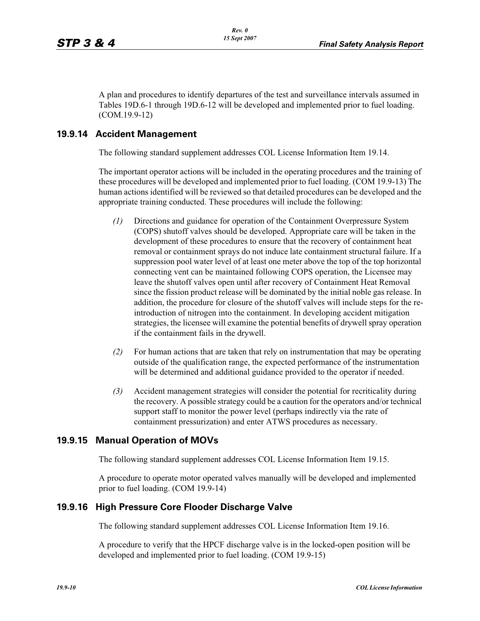A plan and procedures to identify departures of the test and surveillance intervals assumed in Tables 19D.6-1 through 19D.6-12 will be developed and implemented prior to fuel loading. (COM.19.9-12)

### **19.9.14 Accident Management**

The following standard supplement addresses COL License Information Item 19.14.

The important operator actions will be included in the operating procedures and the training of these procedures will be developed and implemented prior to fuel loading. (COM 19.9-13) The human actions identified will be reviewed so that detailed procedures can be developed and the appropriate training conducted. These procedures will include the following:

- *(1)* Directions and guidance for operation of the Containment Overpressure System (COPS) shutoff valves should be developed. Appropriate care will be taken in the development of these procedures to ensure that the recovery of containment heat removal or containment sprays do not induce late containment structural failure. If a suppression pool water level of at least one meter above the top of the top horizontal connecting vent can be maintained following COPS operation, the Licensee may leave the shutoff valves open until after recovery of Containment Heat Removal since the fission product release will be dominated by the initial noble gas release. In addition, the procedure for closure of the shutoff valves will include steps for the reintroduction of nitrogen into the containment. In developing accident mitigation strategies, the licensee will examine the potential benefits of drywell spray operation if the containment fails in the drywell.
- *(2)* For human actions that are taken that rely on instrumentation that may be operating outside of the qualification range, the expected performance of the instrumentation will be determined and additional guidance provided to the operator if needed.
- *(3)* Accident management strategies will consider the potential for recriticality during the recovery. A possible strategy could be a caution for the operators and/or technical support staff to monitor the power level (perhaps indirectly via the rate of containment pressurization) and enter ATWS procedures as necessary.

### **19.9.15 Manual Operation of MOVs**

The following standard supplement addresses COL License Information Item 19.15.

A procedure to operate motor operated valves manually will be developed and implemented prior to fuel loading. (COM 19.9-14)

### **19.9.16 High Pressure Core Flooder Discharge Valve**

The following standard supplement addresses COL License Information Item 19.16.

A procedure to verify that the HPCF discharge valve is in the locked-open position will be developed and implemented prior to fuel loading. (COM 19.9-15)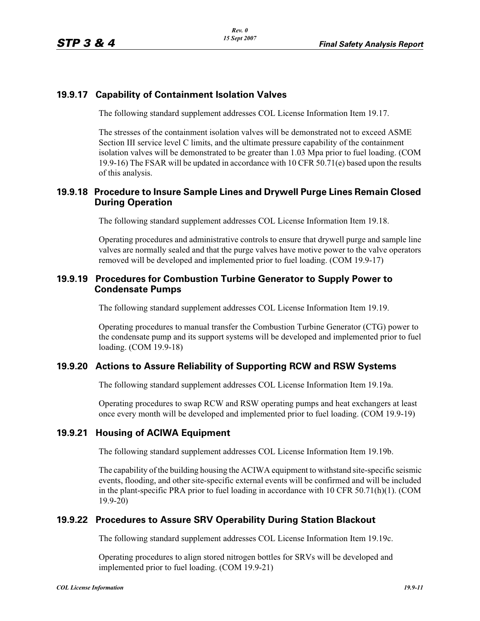## **19.9.17 Capability of Containment Isolation Valves**

The following standard supplement addresses COL License Information Item 19.17.

The stresses of the containment isolation valves will be demonstrated not to exceed ASME Section III service level C limits, and the ultimate pressure capability of the containment isolation valves will be demonstrated to be greater than 1.03 Mpa prior to fuel loading. (COM 19.9-16) The FSAR will be updated in accordance with 10 CFR  $50.71(e)$  based upon the results of this analysis.

## **19.9.18 Procedure to Insure Sample Lines and Drywell Purge Lines Remain Closed During Operation**

The following standard supplement addresses COL License Information Item 19.18.

Operating procedures and administrative controls to ensure that drywell purge and sample line valves are normally sealed and that the purge valves have motive power to the valve operators removed will be developed and implemented prior to fuel loading. (COM 19.9-17)

### **19.9.19 Procedures for Combustion Turbine Generator to Supply Power to Condensate Pumps**

The following standard supplement addresses COL License Information Item 19.19.

Operating procedures to manual transfer the Combustion Turbine Generator (CTG) power to the condensate pump and its support systems will be developed and implemented prior to fuel loading. (COM 19.9-18)

## **19.9.20 Actions to Assure Reliability of Supporting RCW and RSW Systems**

The following standard supplement addresses COL License Information Item 19.19a.

Operating procedures to swap RCW and RSW operating pumps and heat exchangers at least once every month will be developed and implemented prior to fuel loading. (COM 19.9-19)

### **19.9.21 Housing of ACIWA Equipment**

The following standard supplement addresses COL License Information Item 19.19b.

The capability of the building housing the ACIWA equipment to withstand site-specific seismic events, flooding, and other site-specific external events will be confirmed and will be included in the plant-specific PRA prior to fuel loading in accordance with 10 CFR 50.71(h)(1). (COM 19.9-20)

## **19.9.22 Procedures to Assure SRV Operability During Station Blackout**

The following standard supplement addresses COL License Information Item 19.19c.

Operating procedures to align stored nitrogen bottles for SRVs will be developed and implemented prior to fuel loading. (COM 19.9-21)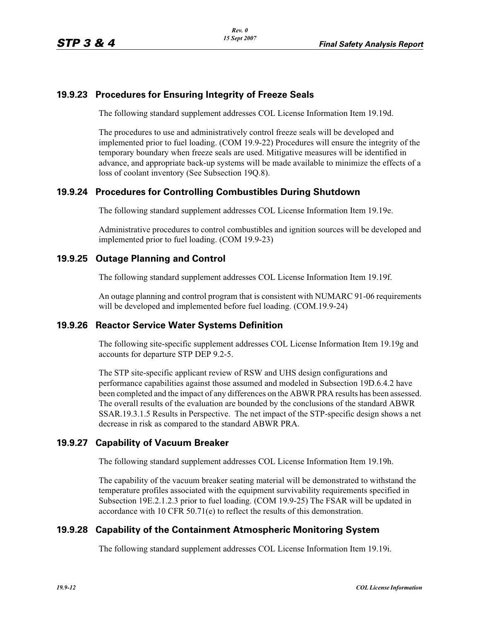# **19.9.23 Procedures for Ensuring Integrity of Freeze Seals**

The following standard supplement addresses COL License Information Item 19.19d.

The procedures to use and administratively control freeze seals will be developed and implemented prior to fuel loading. (COM 19.9-22) Procedures will ensure the integrity of the temporary boundary when freeze seals are used. Mitigative measures will be identified in advance, and appropriate back-up systems will be made available to minimize the effects of a loss of coolant inventory (See Subsection 19Q.8).

## **19.9.24 Procedures for Controlling Combustibles During Shutdown**

The following standard supplement addresses COL License Information Item 19.19e.

Administrative procedures to control combustibles and ignition sources will be developed and implemented prior to fuel loading. (COM 19.9-23)

## **19.9.25 Outage Planning and Control**

The following standard supplement addresses COL License Information Item 19.19f.

An outage planning and control program that is consistent with NUMARC 91-06 requirements will be developed and implemented before fuel loading. (COM.19.9-24)

### **19.9.26 Reactor Service Water Systems Definition**

The following site-specific supplement addresses COL License Information Item 19.19g and accounts for departure STP DEP 9.2-5.

The STP site-specific applicant review of RSW and UHS design configurations and performance capabilities against those assumed and modeled in Subsection 19D.6.4.2 have been completed and the impact of any differences on the ABWR PRA results has been assessed. The overall results of the evaluation are bounded by the conclusions of the standard ABWR SSAR.19.3.1.5 Results in Perspective. The net impact of the STP-specific design shows a net decrease in risk as compared to the standard ABWR PRA.

## **19.9.27 Capability of Vacuum Breaker**

The following standard supplement addresses COL License Information Item 19.19h.

The capability of the vacuum breaker seating material will be demonstrated to withstand the temperature profiles associated with the equipment survivability requirements specified in Subsection 19E.2.1.2.3 prior to fuel loading. (COM 19.9-25) The FSAR will be updated in accordance with 10 CFR 50.71(e) to reflect the results of this demonstration.

## **19.9.28 Capability of the Containment Atmospheric Monitoring System**

The following standard supplement addresses COL License Information Item 19.19i.